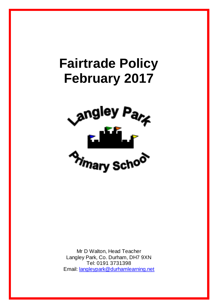# **Fairtrade Policy February 2017**



Mr D Walton, Head Teacher Langley Park, Co. Durham, DH7 9XN Tel: 0191 3731398 Email: [langleypark@durhamlearning.net](mailto:langleypark@durhamlearning.net)